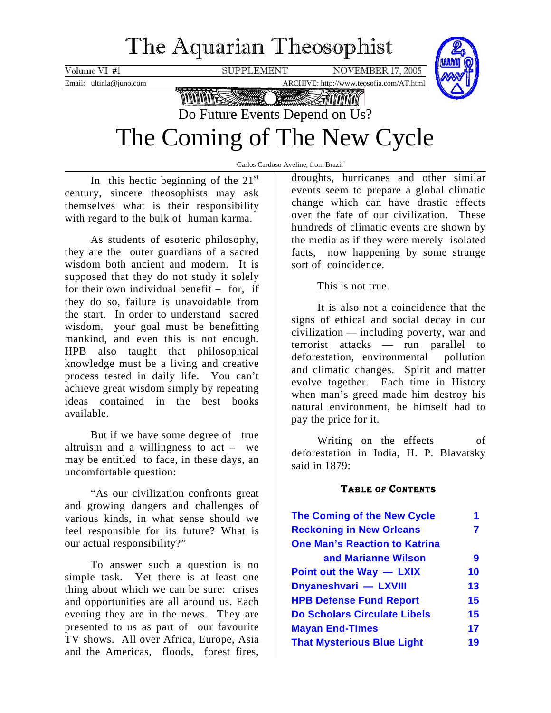# The Aquarian Theosophist

<span id="page-0-0"></span>Volume VI #1 SUPPLEMENT NOVEMBER 17, 2005



Email: ultinla@juno.com ARCHIVE: http://www.teosofia.com/AT.html

**MANIFESSION Texture** 

# Do Future Events Depend on Us?

# The Coming of The New Cycle

Carlos Cardoso Aveline, from Brazil<sup>1</sup>

In this hectic beginning of the  $21<sup>st</sup>$ century, sincere theosophists may ask themselves what is their responsibility with regard to the bulk of human karma.

As students of esoteric philosophy, they are the outer guardians of a sacred wisdom both ancient and modern. It is supposed that they do not study it solely for their own individual benefit – for, if they do so, failure is unavoidable from the start. In order to understand sacred wisdom, your goal must be benefitting mankind, and even this is not enough. HPB also taught that philosophical knowledge must be a living and creative process tested in daily life. You can't achieve great wisdom simply by repeating ideas contained in the best books available.

But if we have some degree of true altruism and a willingness to act – we may be entitled to face, in these days, an uncomfortable question:

"As our civilization confronts great and growing dangers and challenges of various kinds, in what sense should we feel responsible for its future? What is our actual responsibility?"

To answer such a question is no simple task. Yet there is at least one thing about which we can be sure: crises and opportunities are all around us. Each evening they are in the news. They are presented to us as part of our favourite TV shows. All over Africa, Europe, Asia and the Americas, floods, forest fires,

droughts, hurricanes and other similar events seem to prepare a global climatic change which can have drastic effects over the fate of our civilization. These hundreds of climatic events are shown by the media as if they were merely isolated facts, now happening by some strange sort of coincidence.

This is not true.

It is also not a coincidence that the signs of ethical and social decay in our civilization — including poverty, war and terrorist attacks — run parallel to deforestation, environmental pollution and climatic changes. Spirit and matter evolve together. Each time in History when man's greed made him destroy his natural environment, he himself had to pay the price for it.

Writing on the effects of deforestation in India, H. P. Blavatsky said in 1879:

## TABLE OF CONTENTS

| The Coming of the New Cycle          | 1  |
|--------------------------------------|----|
| <b>Reckoning in New Orleans</b>      | 7  |
| <b>One Man's Reaction to Katrina</b> |    |
| and Marianne Wilson                  | 9  |
| Point out the Way - LXIX             | 10 |
| Dnyaneshvari - LXVIII                | 13 |
| <b>HPB Defense Fund Report</b>       | 15 |
| <b>Do Scholars Circulate Libels</b>  | 15 |
| <b>Mayan End-Times</b>               | 17 |
| <b>That Mysterious Blue Light</b>    | 19 |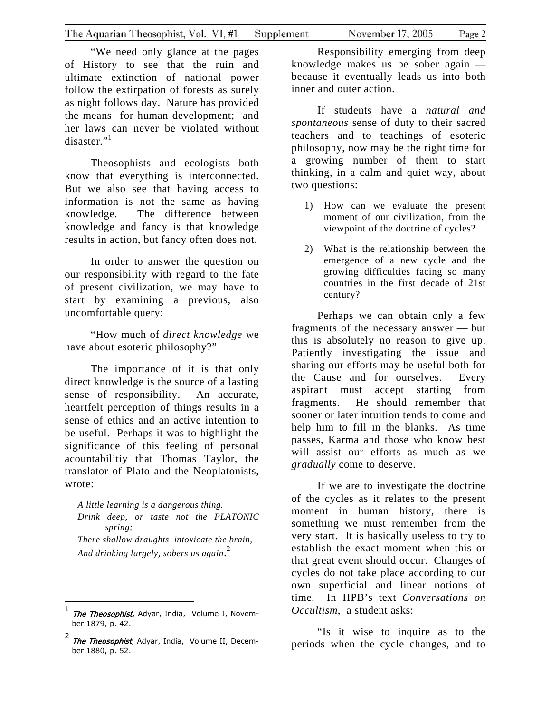"We need only glance at the pages of History to see that the ruin and ultimate extinction of national power follow the extirpation of forests as surely as night follows day. Nature has provided the means for human development; and her laws can never be violated without disaster." $1$ 

Theosophists and ecologists both know that everything is interconnected. But we also see that having access to information is not the same as having knowledge. The difference between knowledge and fancy is that knowledge results in action, but fancy often does not.

In order to answer the question on our responsibility with regard to the fate of present civilization, we may have to start by examining a previous, also uncomfortable query:

"How much of *direct knowledge* we have about esoteric philosophy?"

The importance of it is that only direct knowledge is the source of a lasting sense of responsibility. An accurate, heartfelt perception of things results in a sense of ethics and an active intention to be useful. Perhaps it was to highlight the significance of this feeling of personal acountabilitiy that Thomas Taylor, the translator of Plato and the Neoplatonists, wrote:

*A little learning is a dangerous thing. Drink deep, or taste not the PLATONIC spring; There shallow draughts intoxicate the brain, And drinking largely, sobers us again*. [2](#page-1-1)

1

Responsibility emerging from deep knowledge makes us be sober again because it eventually leads us into both inner and outer action.

If students have a *natural and spontaneous* sense of duty to their sacred teachers and to teachings of esoteric philosophy, now may be the right time for a growing number of them to start thinking, in a calm and quiet way, about two questions:

- 1) How can we evaluate the present moment of our civilization, from the viewpoint of the doctrine of cycles?
- 2) What is the relationship between the emergence of a new cycle and the growing difficulties facing so many countries in the first decade of 21st century?

Perhaps we can obtain only a few fragments of the necessary answer — but this is absolutely no reason to give up. Patiently investigating the issue and sharing our efforts may be useful both for the Cause and for ourselves. Every aspirant must accept starting from fragments. He should remember that sooner or later intuition tends to come and help him to fill in the blanks. As time passes, Karma and those who know best will assist our efforts as much as we *gradually* come to deserve.

If we are to investigate the doctrine of the cycles as it relates to the present moment in human history, there is something we must remember from the very start. It is basically useless to try to establish the exact moment when this or that great event should occur. Changes of cycles do not take place according to our own superficial and linear notions of time. In HPB's text *Conversations on Occultism*, a student asks:

"Is it wise to inquire as to the periods when the cycle changes, and to

<span id="page-1-0"></span><sup>1&</sup>lt;br>The Theosophist, Adyar, India, Volume I, November 1879, p. 42.

<span id="page-1-1"></span><sup>&</sup>lt;sup>2</sup> The Theosophist, Adyar, India, Volume II, December 1880, p. 52.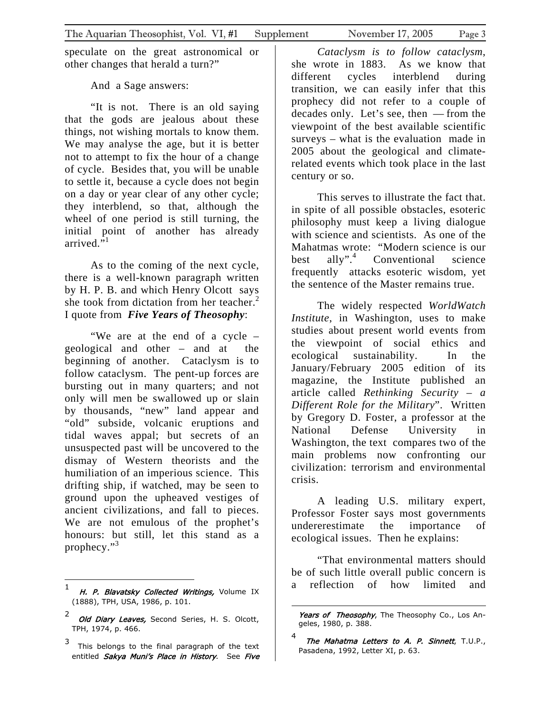speculate on the great astronomical or other changes that herald a turn?"

And a Sage answers:

"It is not. There is an old saying that the gods are jealous about these things, not wishing mortals to know them. We may analyse the age, but it is better not to attempt to fix the hour of a change of cycle. Besides that, you will be unable to settle it, because a cycle does not begin on a day or year clear of any other cycle; they interblend, so that, although the wheel of one period is still turning, the initial point of another has already arrived. $\overline{1}$  $\overline{1}$  $\overline{1}$ <sup>1</sup>

As to the coming of the next cycle, there is a well-known paragraph written by H. P. B. and which Henry Olcott says she took from dictation from her teacher.<sup>[2](#page-2-1)</sup> I quote from *Five Years of Theosophy*:

"We are at the end of a cycle – geological and other – and at the beginning of another. Cataclysm is to follow cataclysm. The pent-up forces are bursting out in many quarters; and not only will men be swallowed up or slain by thousands, "new" land appear and "old" subside, volcanic eruptions and tidal waves appal; but secrets of an unsuspected past will be uncovered to the dismay of Western theorists and the humiliation of an imperious science. This drifting ship, if watched, may be seen to ground upon the upheaved vestiges of ancient civilizations, and fall to pieces. We are not emulous of the prophet's honours: but still, let this stand as a prophecy."<sup>[3](#page-2-2)</sup>

 $\overline{a}$ 

*Cataclysm is to follow cataclysm*, she wrote in 1883. As we know that different cycles interblend during transition, we can easily infer that this prophecy did not refer to a couple of decades only. Let's see, then — from the viewpoint of the best available scientific surveys – what is the evaluation made in 2005 about the geological and climaterelated events which took place in the last century or so.

This serves to illustrate the fact that. in spite of all possible obstacles, esoteric philosophy must keep a living dialogue with science and scientists. As one of the Mahatmas wrote: "Modern science is our best ally". $4$  Conventional science frequently attacks esoteric wisdom, yet the sentence of the Master remains true.

The widely respected *WorldWatch Institute*, in Washington, uses to make studies about present world events from the viewpoint of social ethics and ecological sustainability. In the January/February 2005 edition of its magazine, the Institute published an article called *Rethinking Security – a Different Role for the Military*". Written by Gregory D. Foster, a professor at the National Defense University Washington, the text compares two of the main problems now confronting our civilization: terrorism and environmental crisis.

A leading U.S. military expert, Professor Foster says most governments undererestimate the importance of ecological issues. Then he explains:

"That environmental matters should be of such little overall public concern is a reflection of how limited and

1

<span id="page-2-0"></span>H. P. Blavatsky Collected Writings, Volume IX 1 (1888), TPH, USA, 1986, p. 101.

<span id="page-2-1"></span><sup>2</sup> Old Diary Leaves, Second Series, H. S. Olcott, TPH, 1974, p. 466.

<span id="page-2-2"></span>entitled *Sakya Muni's Place in History. See Five* 3 This belongs to the final paragraph of the text

Years of Theosophy, The Theosophy Co., Los Angeles, 1980, p. 388.

<span id="page-2-3"></span>*The Mahatma Letters to A. P. Sinnett,* **T.U.P.,** 4 Pasadena, 1992, Letter XI, p. 63.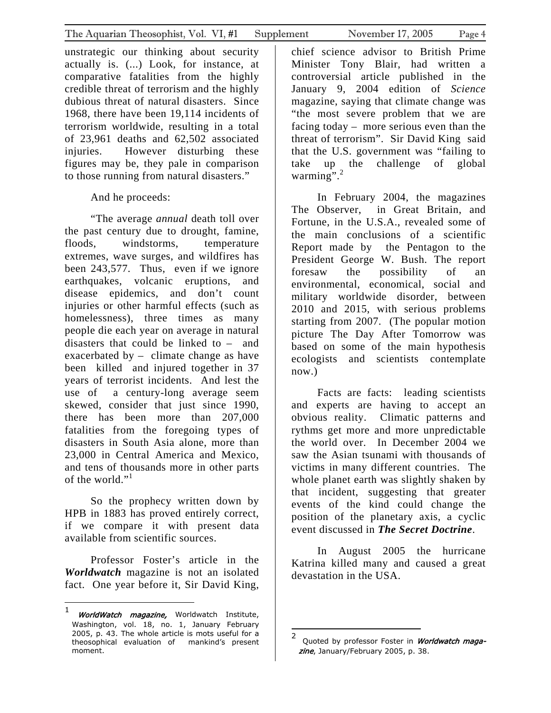unstrategic our thinking about security actually is. (...) Look, for instance, at comparative fatalities from the highly credible threat of terrorism and the highly dubious threat of natural disasters. Since 1968, there have been 19,114 incidents of terrorism worldwide, resulting in a total of 23,961 deaths and 62,502 associated injuries. However disturbing these figures may be, they pale in comparison to those running from natural disasters."

#### And he proceeds:

"The average *annual* death toll over the past century due to drought, famine, floods, windstorms, temperature extremes, wave surges, and wildfires has been 243,577. Thus, even if we ignore earthquakes, volcanic eruptions, and disease epidemics, and don't count injuries or other harmful effects (such as homelessness), three times as many people die each year on average in natural disasters that could be linked to – and exacerbated by – climate change as have been killed and injured together in 37 years of terrorist incidents. And lest the use of a century-long average seem skewed, consider that just since 1990, there has been more than 207,000 fatalities from the foregoing types of disasters in South Asia alone, more than 23,000 in Central America and Mexico, and tens of thousands more in other parts of the world."<sup>[1](#page-3-0)</sup>

So the prophecy written down by HPB in 1883 has proved entirely correct, if we compare it with present data available from scientific sources.

Professor Foster's article in the *Worldwatch* magazine is not an isolated fact. One year before it, Sir David King,

chief science advisor to British Prime Minister Tony Blair, had written a controversial article published in the January 9, 2004 edition of *Science* magazine, saying that climate change was "the most severe problem that we are facing today – more serious even than the threat of terrorism". Sir David King said that the U.S. government was "failing to take up the challenge of global warming". $^{2}$  $^{2}$  $^{2}$ 

In February 2004, the magazines The Observer, in Great Britain, and Fortune, in the U.S.A., revealed some of the main conclusions of a scientific Report made by the Pentagon to the President George W. Bush. The report foresaw the possibility of an environmental, economical, social and military worldwide disorder, between 2010 and 2015, with serious problems starting from 2007. (The popular motion picture The Day After Tomorrow was based on some of the main hypothesis ecologists and scientists contemplate now.)

Facts are facts: leading scientists and experts are having to accept an obvious reality. Climatic patterns and rythms get more and more unpredictable the world over. In December 2004 we saw the Asian tsunami with thousands of victims in many different countries. The whole planet earth was slightly shaken by that incident, suggesting that greater events of the kind could change the position of the planetary axis, a cyclic event discussed in *The Secret Doctrine*.

In August 2005 the hurricane Katrina killed many and caused a great devastation in the USA.

 $\overline{a}$ 

<span id="page-3-0"></span> $\mathbf{1}$ 1 *WorldWatch magazine,* Worldwatch Institute, Washington, vol. 18, no. 1, January February 2005, p. 43. The whole article is mots useful for a theosophical evaluation of mankind's present moment.

<span id="page-3-1"></span><sup>2</sup> Quoted by professor Foster in Worldwatch magazine, January/February 2005, p. 38.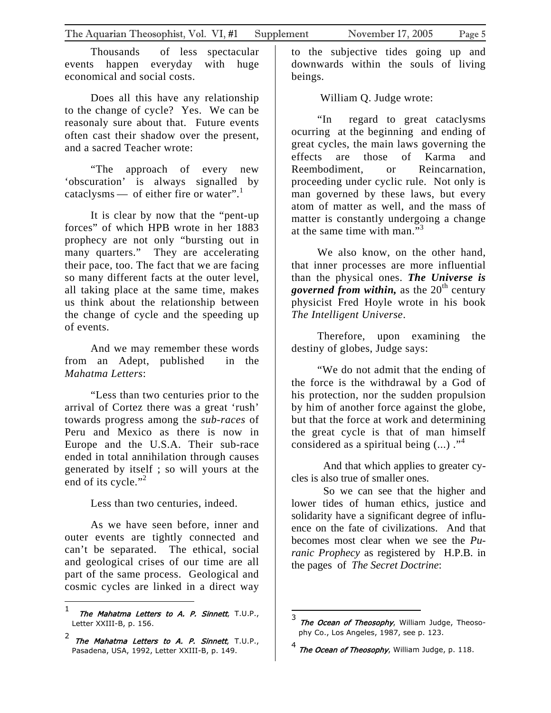Thousands of less spectacular events happen everyday with huge economical and social costs.

Does all this have any relationship to the change of cycle? Yes. We can be reasonaly sure about that. Future events often cast their shadow over the present, and a sacred Teacher wrote:

"The approach of every new 'obscuration' is always signalled by cataclysms— of either fire or water".<sup>1</sup>

It is clear by now that the "pent-up forces" of which HPB wrote in her 1883 prophecy are not only "bursting out in many quarters." They are accelerating their pace, too. The fact that we are facing so many different facts at the outer level, all taking place at the same time, makes us think about the relationship between the change of cycle and the speeding up of events.

And we may remember these words from an Adept, published in the *Mahatma Letters*:

"Less than two centuries prior to the arrival of Cortez there was a great 'rush' towards progress among the *sub-races* of Peru and Mexico as there is now in Europe and the U.S.A. Their sub-race ended in total annihilation through causes generated by itself ; so will yours at the end of its cycle."<sup>[2](#page-4-1)</sup>

Less than two centuries, indeed.

As we have seen before, inner and outer events are tightly connected and can't be separated. The ethical, social and geological crises of our time are all part of the same process. Geological and cosmic cycles are linked in a direct way to the subjective tides going up and downwards within the souls of living beings.

William Q. Judge wrote:

"In regard to great cataclysms ocurring at the beginning and ending of great cycles, the main laws governing the effects are those of Karma and Reembodiment, or Reincarnation, proceeding under cyclic rule. Not only is man governed by these laws, but every atom of matter as well, and the mass of matter is constantly undergoing a change at the same time with man." $3<sup>3</sup>$  $3<sup>3</sup>$ 

We also know, on the other hand, that inner processes are more influential than the physical ones. *The Universe is governed from within*, as the 20<sup>th</sup> century physicist Fred Hoyle wrote in his book *The Intelligent Universe*.

Therefore, upon examining the destiny of globes, Judge says:

"We do not admit that the ending of the force is the withdrawal by a God of his protection, nor the sudden propulsion by him of another force against the globe, but that the force at work and determining the great cycle is that of man himself considered as a spiritual being  $(...)$ ."<sup>[4](#page-4-3)</sup>

And that which applies to greater cycles is also true of smaller ones.

So we can see that the higher and lower tides of human ethics, justice and solidarity have a significant degree of influence on the fate of civilizations. And that becomes most clear when we see the *Puranic Prophecy* as registered by H.P.B. in the pages of *The Secret Doctrine*:

<span id="page-4-0"></span> $\mathbf{1}$  $\begin{array}{c} \texttt{1} \quad \texttt{The Mahatma Letters to A. P. Sinnett, T.U.P.,} \end{array}$ Letter XXIII-B, p. 156.

<span id="page-4-1"></span> $^2$  The Mahatma Letters to A. P. Sinnett, T.U.P., Pasadena, USA, 1992, Letter XXIII-B, p. 149.

<span id="page-4-2"></span>The Ocean of Theosophy, William Judge, Theosophy Co., Los Angeles, 1987, see p. 123.

<span id="page-4-3"></span><sup>4</sup> The Ocean of Theosophy, William Judge, p. 118.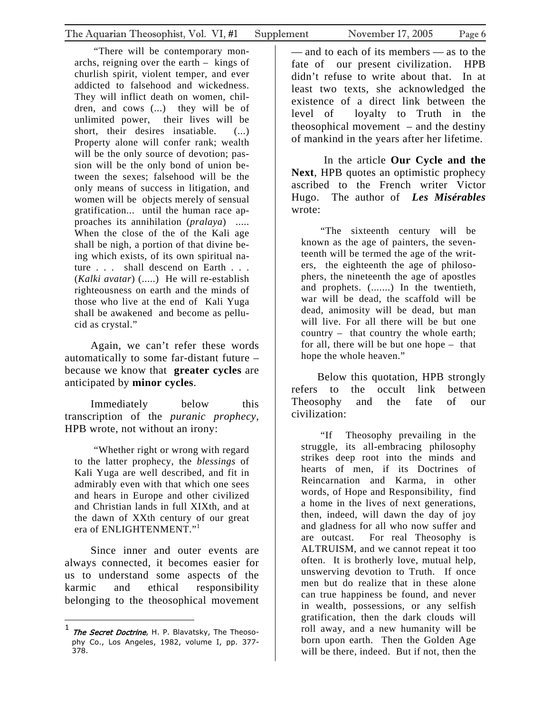"There will be contemporary monarchs, reigning over the earth – kings of churlish spirit, violent temper, and ever addicted to falsehood and wickedness. They will inflict death on women, children, and cows (...) they will be of unlimited power, their lives will be short, their desires insatiable. (...) Property alone will confer rank; wealth will be the only source of devotion; passion will be the only bond of union between the sexes; falsehood will be the only means of success in litigation, and women will be objects merely of sensual gratification... until the human race approaches its annihilation (*pralaya*) ..... When the close of the of the Kali age shall be nigh, a portion of that divine being which exists, of its own spiritual nature . . . shall descend on Earth . . . (*Kalki avatar*) (.....) He will re-establish righteousness on earth and the minds of those who live at the end of Kali Yuga shall be awakened and become as pellucid as crystal."

Again, we can't refer these words automatically to some far-distant future – because we know that **greater cycles** are anticipated by **minor cycles**.

Immediately below this transcription of the *puranic prophecy*, HPB wrote, not without an irony:

"Whether right or wrong with regard to the latter prophecy, the *blessings* of Kali Yuga are well described, and fit in admirably even with that which one sees and hears in Europe and other civilized and Christian lands in full XIXth, and at the dawn of XXth century of our great era of ENLIGHTENMENT."[1](#page-5-0)

Since inner and outer events are always connected, it becomes easier for us to understand some aspects of the karmic and ethical responsibility belonging to the theosophical movement

 $\overline{a}$ 

— and to each of its members — as to the fate of our present civilization. HPB didn't refuse to write about that. In at least two texts, she acknowledged the existence of a direct link between the level of loyalty to Truth in the theosophical movement – and the destiny

 In the article **Our Cycle and the Next**, HPB quotes an optimistic prophecy ascribed to the French writer Victor Hugo. The author of *Les Misérables* wrote:

of mankind in the years after her lifetime.

"The sixteenth century will be known as the age of painters, the seventeenth will be termed the age of the writers, the eighteenth the age of philosophers, the nineteenth the age of apostles and prophets. (.......) In the twentieth, war will be dead, the scaffold will be dead, animosity will be dead, but man will live. For all there will be but one country – that country the whole earth; for all, there will be but one hope – that hope the whole heaven."

Below this quotation, HPB strongly refers to the occult link between Theosophy and the fate of our civilization:

"If Theosophy prevailing in the struggle, its all-embracing philosophy strikes deep root into the minds and hearts of men, if its Doctrines of Reincarnation and Karma, in other words, of Hope and Responsibility, find a home in the lives of next generations, then, indeed, will dawn the day of joy and gladness for all who now suffer and are outcast. For real Theosophy is ALTRUISM, and we cannot repeat it too often. It is brotherly love, mutual help, unswerving devotion to Truth. If once men but do realize that in these alone can true happiness be found, and never in wealth, possessions, or any selfish gratification, then the dark clouds will roll away, and a new humanity will be born upon earth. Then the Golden Age will be there, indeed. But if not, then the

<span id="page-5-0"></span> $^{1}$  The Secret Doctrine, H. P. Blavatsky, The Theosophy Co., Los Angeles, 1982, volume I, pp. 377- 378.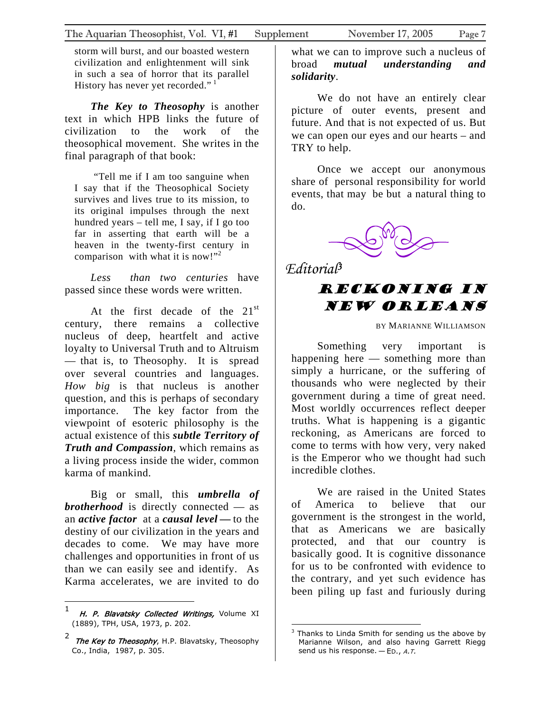storm will burst, and our boasted western civilization and enlightenment will sink in such a sea of horror that its parallel History has never yet recorded."<sup>1</sup>

*The Key to Theosophy* is another text in which HPB links the future of civilization to the work of the theosophical movement. She writes in the final paragraph of that book:

"Tell me if I am too sanguine when I say that if the Theosophical Society survives and lives true to its mission, to its original impulses through the next hundred years – tell me, I say, if I go too far in asserting that earth will be a heaven in the twenty-first century in comparison with what it is now!"<sup>[2](#page-6-1)</sup>

*Less than two centuries* have passed since these words were written.

At the first decade of the  $21^{st}$ century, there remains a collective nucleus of deep, heartfelt and active loyalty to Universal Truth and to Altruism — that is, to Theosophy. It is spread over several countries and languages. *How big* is that nucleus is another question, and this is perhaps of secondary importance. The key factor from the viewpoint of esoteric philosophy is the actual existence of this *subtle Territory of Truth and Compassion*, which remains as a living process inside the wider, common karma of mankind.

Big or small, this *umbrella of brotherhood* is directly connected — as an *active factor* at a *causal level* **—** to the destiny of our civilization in the years and decades to come. We may have more challenges and opportunities in front of us than we can easily see and identify. As Karma accelerates, we are invited to do

what we can to improve such a nucleus of broad *mutual understanding and solidarity*.

We do not have an entirely clear picture of outer events, present and future. And that is not expected of us. But we can open our eyes and our hearts – and TRY to help.

Once we accept our anonymous share of personal responsibility for world events, that may be but a natural thing to do.



*Editorial[3](#page-6-2)*

# Reckoning in New Orleans

BY MARIANNE WILLIAMSON

Something very important is happening here — something more than simply a hurricane, or the suffering of thousands who were neglected by their government during a time of great need. Most worldly occurrences reflect deeper truths. What is happening is a gigantic reckoning, as Americans are forced to come to terms with how very, very naked is the Emperor who we thought had such incredible clothes.

We are raised in the United States of America to believe that our government is the strongest in the world, that as Americans we are basically protected, and that our country is basically good. It is cognitive dissonance for us to be confronted with evidence to the contrary, and yet such evidence has been piling up fast and furiously during

<span id="page-6-0"></span> $\mathbf{1}$  $^1$  H. P. Blavatsky Collected Writings, Volume XI (1889), TPH, USA, 1973, p. 202.

<span id="page-6-1"></span><sup>2</sup> The Key to Theosophy, H.P. Blavatsky, Theosophy Co., India, 1987, p. 305.

<span id="page-6-2"></span> 3 Thanks to Linda Smith for sending us the above by Marianne Wilson, and also having Garrett Riegg send us his response.  $-$  ED., A.T.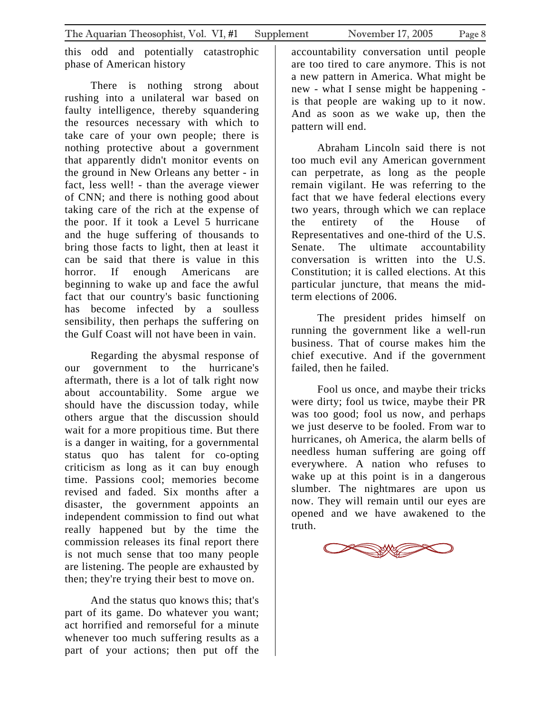this odd and potentially catastrophic phase of American history

There is nothing strong about rushing into a unilateral war based on faulty intelligence, thereby squandering the resources necessary with which to take care of your own people; there is nothing protective about a government that apparently didn't monitor events on the ground in New Orleans any better - in fact, less well! - than the average viewer of CNN; and there is nothing good about taking care of the rich at the expense of the poor. If it took a Level 5 hurricane and the huge suffering of thousands to bring those facts to light, then at least it can be said that there is value in this horror. If enough Americans are beginning to wake up and face the awful fact that our country's basic functioning has become infected by a soulless sensibility, then perhaps the suffering on the Gulf Coast will not have been in vain.

Regarding the abysmal response of our government to the hurricane's aftermath, there is a lot of talk right now about accountability. Some argue we should have the discussion today, while others argue that the discussion should wait for a more propitious time. But there is a danger in waiting, for a governmental status quo has talent for co-opting criticism as long as it can buy enough time. Passions cool; memories become revised and faded. Six months after a disaster, the government appoints an independent commission to find out what really happened but by the time the commission releases its final report there is not much sense that too many people are listening. The people are exhausted by then; they're trying their best to move on.

And the status quo knows this; that's part of its game. Do whatever you want; act horrified and remorseful for a minute whenever too much suffering results as a part of your actions; then put off the

accountability conversation until people are too tired to care anymore. This is not a new pattern in America. What might be new - what I sense might be happening is that people are waking up to it now. And as soon as we wake up, then the pattern will end.

Abraham Lincoln said there is not too much evil any American government can perpetrate, as long as the people remain vigilant. He was referring to the fact that we have federal elections every two years, through which we can replace the entirety of the House of Representatives and one-third of the U.S. Senate. The ultimate accountability conversation is written into the U.S. Constitution; it is called elections. At this particular juncture, that means the midterm elections of 2006.

The president prides himself on running the government like a well-run business. That of course makes him the chief executive. And if the government failed, then he failed.

Fool us once, and maybe their tricks were dirty; fool us twice, maybe their PR was too good; fool us now, and perhaps we just deserve to be fooled. From war to hurricanes, oh America, the alarm bells of needless human suffering are going off everywhere. A nation who refuses to wake up at this point is in a dangerous slumber. The nightmares are upon us now. They will remain until our eyes are opened and we have awakened to the truth.

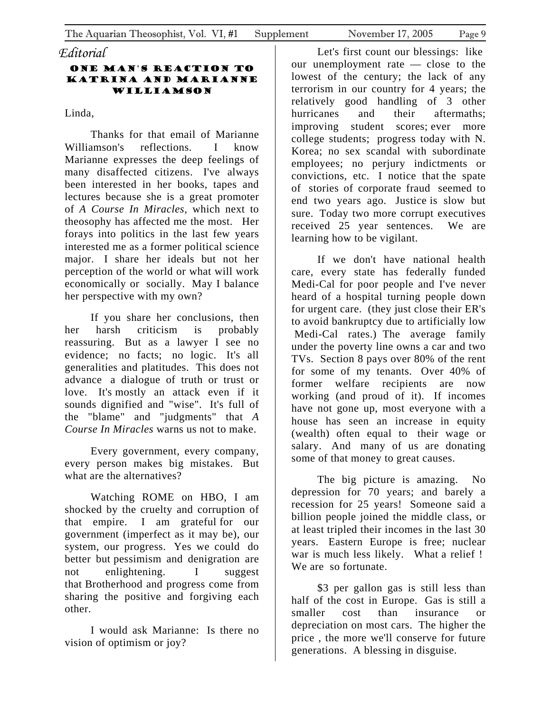### *Editorial*

#### One man's reaction to Katrina and Marianne Williamson

Linda,

Thanks for that email of Marianne Williamson's reflections. I know Marianne expresses the deep feelings of many disaffected citizens. I've always been interested in her books, tapes and lectures because she is a great promoter of *A Course In Miracles,* which next to theosophy has affected me the most. Her forays into politics in the last few years interested me as a former political science major. I share her ideals but not her perception of the world or what will work economically or socially. May I balance her perspective with my own?

If you share her conclusions, then her harsh criticism is probably reassuring. But as a lawyer I see no evidence; no facts; no logic. It's all generalities and platitudes. This does not advance a dialogue of truth or trust or love. It's mostly an attack even if it sounds dignified and "wise". It's full of the "blame" and "judgments" that *A Course In Miracles* warns us not to make.

Every government, every company, every person makes big mistakes. But what are the alternatives?

Watching ROME on HBO, I am shocked by the cruelty and corruption of that empire. I am grateful for our government (imperfect as it may be), our system, our progress. Yes we could do better but pessimism and denigration are not enlightening. I suggest that Brotherhood and progress come from sharing the positive and forgiving each other.

I would ask Marianne: Is there no vision of optimism or joy?

Let's first count our blessings: like our unemployment rate — close to the lowest of the century; the lack of any terrorism in our country for 4 years; the relatively good handling of 3 other hurricanes and their aftermaths; improving student scores; ever more college students; progress today with N. Korea; no sex scandal with subordinate employees; no perjury indictments or convictions, etc. I notice that the spate of stories of corporate fraud seemed to end two years ago. Justice is slow but sure. Today two more corrupt executives received 25 year sentences. We are learning how to be vigilant.

If we don't have national health care, every state has federally funded Medi-Cal for poor people and I've never heard of a hospital turning people down for urgent care. (they just close their ER's to avoid bankruptcy due to artificially low Medi-Cal rates.) The average family under the poverty line owns a car and two TVs. Section 8 pays over 80% of the rent for some of my tenants. Over 40% of former welfare recipients are now working (and proud of it). If incomes have not gone up, most everyone with a house has seen an increase in equity (wealth) often equal to their wage or salary. And many of us are donating some of that money to great causes.

The big picture is amazing. No depression for 70 years; and barely a recession for 25 years! Someone said a billion people joined the middle class, or at least tripled their incomes in the last 30 years. Eastern Europe is free; nuclear war is much less likely. What a relief ! We are so fortunate.

\$3 per gallon gas is still less than half of the cost in Europe. Gas is still a smaller cost than insurance or depreciation on most cars. The higher the price , the more we'll conserve for future generations. A blessing in disguise.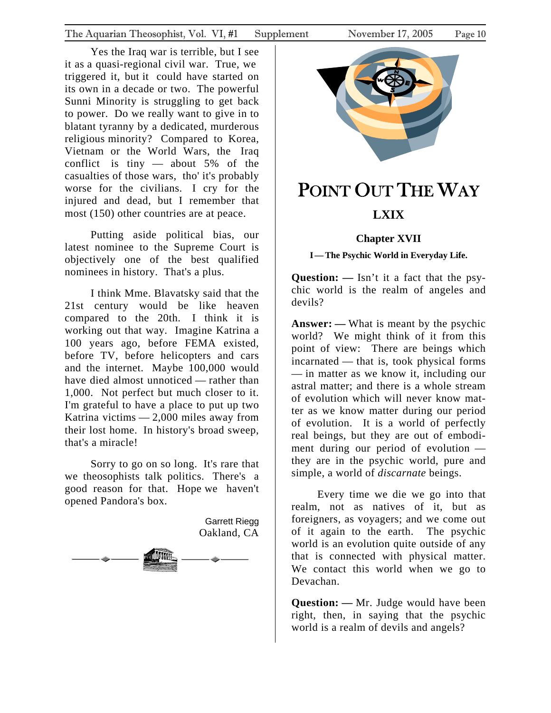<span id="page-9-0"></span>Yes the Iraq war is terrible, but I see it as a quasi-regional civil war. True, we triggered it, but it could have started on its own in a decade or two. The powerful Sunni Minority is struggling to get back to power. Do we really want to give in to blatant tyranny by a dedicated, murderous religious minority? Compared to Korea, Vietnam or the World Wars, the Iraq conflict is tiny — about 5% of the casualties of those wars, tho' it's probably worse for the civilians. I cry for the injured and dead, but I remember that most (150) other countries are at peace.

Putting aside political bias, our latest nominee to the Supreme Court is objectively one of the best qualified nominees in history. That's a plus.

I think Mme. Blavatsky said that the 21st century would be like heaven compared to the 20th. I think it is working out that way. Imagine Katrina a 100 years ago, before FEMA existed, before TV, before helicopters and cars and the internet. Maybe 100,000 would have died almost unnoticed — rather than 1,000. Not perfect but much closer to it. I'm grateful to have a place to put up two Katrina victims — 2,000 miles away from their lost home. In history's broad sweep, that's a miracle!

Sorry to go on so long. It's rare that we theosophists talk politics. There's a good reason for that. Hope we haven't opened Pandora's box.

> Garrett Riegg Oakland, CA





# POINT OUT THE WAY

# **LXIX**

## **Chapter XVII**

**I—The Psychic World in Everyday Life.** 

**Question: —** Isn't it a fact that the psychic world is the realm of angeles and devils?

**Answer: —** What is meant by the psychic world? We might think of it from this point of view: There are beings which incarnated — that is, took physical forms — in matter as we know it, including our astral matter; and there is a whole stream of evolution which will never know matter as we know matter during our period of evolution. It is a world of perfectly real beings, but they are out of embodiment during our period of evolution they are in the psychic world, pure and simple, a world of *discarnate* beings.

Every time we die we go into that realm, not as natives of it, but as foreigners, as voyagers; and we come out of it again to the earth. The psychic world is an evolution quite outside of any that is connected with physical matter. We contact this world when we go to Devachan.

**Question: —** Mr. Judge would have been right, then, in saying that the psychic world is a realm of devils and angels?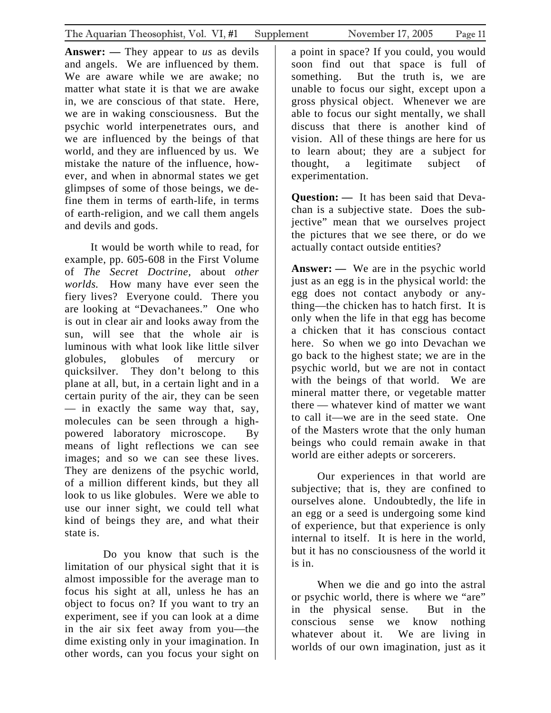**Answer: —** They appear to *us* as devils and angels. We are influenced by them. We are aware while we are awake; no matter what state it is that we are awake in, we are conscious of that state. Here, we are in waking consciousness. But the psychic world interpenetrates ours, and we are influenced by the beings of that world, and they are influenced by us. We mistake the nature of the influence, however, and when in abnormal states we get glimpses of some of those beings, we define them in terms of earth-life, in terms of earth-religion, and we call them angels and devils and gods.

It would be worth while to read, for example, pp. 605-608 in the First Volume of *The Secret Doctrine,* about *other worlds.* How many have ever seen the fiery lives? Everyone could. There you are looking at "Devachanees." One who is out in clear air and looks away from the sun, will see that the whole air is luminous with what look like little silver globules, globules of mercury or quicksilver. They don't belong to this plane at all, but, in a certain light and in a certain purity of the air, they can be seen — in exactly the same way that, say, molecules can be seen through a highpowered laboratory microscope. By means of light reflections we can see images; and so we can see these lives. They are denizens of the psychic world, of a million different kinds, but they all look to us like globules. Were we able to use our inner sight, we could tell what kind of beings they are, and what their state is.

 Do you know that such is the limitation of our physical sight that it is almost impossible for the average man to focus his sight at all, unless he has an object to focus on? If you want to try an experiment, see if you can look at a dime in the air six feet away from you—the dime existing only in your imagination. In other words, can you focus your sight on

a point in space? If you could, you would soon find out that space is full of something. But the truth is, we are unable to focus our sight, except upon a gross physical object. Whenever we are able to focus our sight mentally, we shall discuss that there is another kind of vision. All of these things are here for us to learn about; they are a subject for thought, a legitimate subject of

**Question: —** It has been said that Devachan is a subjective state. Does the subjective" mean that we ourselves project the pictures that we see there, or do we actually contact outside entities?

experimentation.

**Answer: —** We are in the psychic world just as an egg is in the physical world: the egg does not contact anybody or anything—the chicken has to hatch first. It is only when the life in that egg has become a chicken that it has conscious contact here. So when we go into Devachan we go back to the highest state; we are in the psychic world, but we are not in contact with the beings of that world. We are mineral matter there, or vegetable matter there — whatever kind of matter we want to call it—we are in the seed state. One of the Masters wrote that the only human beings who could remain awake in that world are either adepts or sorcerers.

Our experiences in that world are subjective; that is, they are confined to ourselves alone. Undoubtedly, the life in an egg or a seed is undergoing some kind of experience, but that experience is only internal to itself. It is here in the world, but it has no consciousness of the world it is in.

When we die and go into the astral or psychic world, there is where we "are" in the physical sense. But in the conscious sense we know nothing whatever about it. We are living in worlds of our own imagination, just as it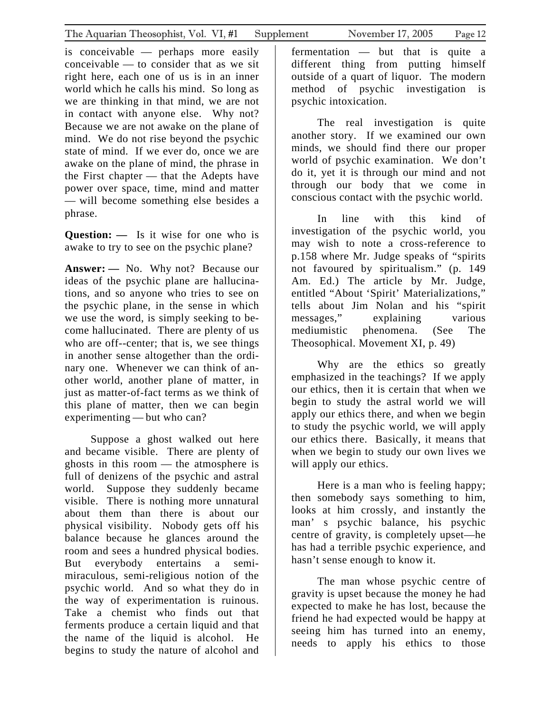is conceivable — perhaps more easily conceivable — to consider that as we sit right here, each one of us is in an inner world which he calls his mind. So long as we are thinking in that mind, we are not in contact with anyone else. Why not? Because we are not awake on the plane of mind. We do not rise beyond the psychic state of mind. If we ever do, once we are awake on the plane of mind, the phrase in the First chapter — that the Adepts have power over space, time, mind and matter — will become something else besides a phrase.

**Question:**  $\qquad$  Is it wise for one who is awake to try to see on the psychic plane?

**Answer: —** No. Why not? Because our ideas of the psychic plane are hallucinations, and so anyone who tries to see on the psychic plane, in the sense in which we use the word, is simply seeking to become hallucinated. There are plenty of us who are off--center; that is, we see things in another sense altogether than the ordinary one. Whenever we can think of another world, another plane of matter, in just as matter-of-fact terms as we think of this plane of matter, then we can begin experimenting — but who can?

Suppose a ghost walked out here and became visible. There are plenty of ghosts in this room — the atmosphere is full of denizens of the psychic and astral world. Suppose they suddenly became visible. There is nothing more unnatural about them than there is about our physical visibility. Nobody gets off his balance because he glances around the room and sees a hundred physical bodies. But everybody entertains a semimiraculous, semi-religious notion of the psychic world. And so what they do in the way of experimentation is ruinous. Take a chemist who finds out that ferments produce a certain liquid and that the name of the liquid is alcohol. He begins to study the nature of alcohol and

fermentation — but that is quite a different thing from putting himself outside of a quart of liquor. The modern method of psychic investigation is psychic intoxication.

The real investigation is quite another story. If we examined our own minds, we should find there our proper world of psychic examination. We don't do it, yet it is through our mind and not through our body that we come in conscious contact with the psychic world.

In line with this kind of investigation of the psychic world, you may wish to note a cross-reference to p.158 where Mr. Judge speaks of "spirits not favoured by spiritualism." (p. 149 Am. Ed.) The article by Mr. Judge, entitled "About 'Spirit' Materializations," tells about Jim Nolan and his "spirit messages," explaining various mediumistic phenomena. (See The Theosophical. Movement XI, p. 49)

Why are the ethics so greatly emphasized in the teachings? If we apply our ethics, then it is certain that when we begin to study the astral world we will apply our ethics there, and when we begin to study the psychic world, we will apply our ethics there. Basically, it means that when we begin to study our own lives we will apply our ethics.

Here is a man who is feeling happy; then somebody says something to him, looks at him crossly, and instantly the man' s psychic balance, his psychic centre of gravity, is completely upset—he has had a terrible psychic experience, and hasn't sense enough to know it.

The man whose psychic centre of gravity is upset because the money he had expected to make he has lost, because the friend he had expected would be happy at seeing him has turned into an enemy, needs to apply his ethics to those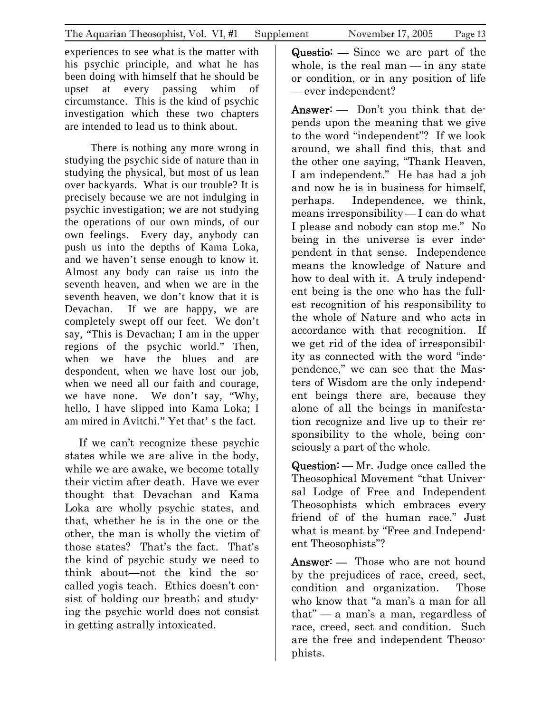experiences to see what is the matter with his psychic principle, and what he has been doing with himself that he should be upset at every passing whim of circumstance. This is the kind of psychic investigation which these two chapters are intended to lead us to think about.

There is nothing any more wrong in studying the psychic side of nature than in studying the physical, but most of us lean over backyards. What is our trouble? It is precisely because we are not indulging in psychic investigation; we are not studying the operations of our own minds, of our own feelings. Every day, anybody can push us into the depths of Kama Loka, and we haven't sense enough to know it. Almost any body can raise us into the seventh heaven, and when we are in the seventh heaven, we don't know that it is Devachan. If we are happy, we are completely swept off our feet. We don't say, "This is Devachan; I am in the upper regions of the psychic world." Then, when we have the blues and are despondent, when we have lost our job, when we need all our faith and courage, we have none. We don't say, "Why, hello, I have slipped into Kama Loka; I am mired in Avitchi." Yet that' s the fact.

 If we can't recognize these psychic states while we are alive in the body, while we are awake, we become totally their victim after death. Have we ever thought that Devachan and Kama Loka are wholly psychic states, and that, whether he is in the one or the other, the man is wholly the victim of those states? That's the fact. That's the kind of psychic study we need to think about—not the kind the socalled yogis teach. Ethics doesn't consist of holding our breath; and studying the psychic world does not consist in getting astrally intoxicated.

Questio: — Since we are part of the whole, is the real man  $-$  in any state or condition, or in any position of life — ever independent?

Answer: — Don't you think that depends upon the meaning that we give to the word "independent"? If we look around, we shall find this, that and the other one saying, "Thank Heaven, I am independent." He has had a job and now he is in business for himself, perhaps. Independence, we think, means irresponsibility — I can do what I please and nobody can stop me." No being in the universe is ever independent in that sense. Independence means the knowledge of Nature and how to deal with it. A truly independent being is the one who has the fullest recognition of his responsibility to the whole of Nature and who acts in accordance with that recognition. If we get rid of the idea of irresponsibility as connected with the word "independence," we can see that the Masters of Wisdom are the only independent beings there are, because they alone of all the beings in manifestation recognize and live up to their responsibility to the whole, being consciously a part of the whole.

Question: — Mr. Judge once called the Theosophical Movement "that Universal Lodge of Free and Independent Theosophists which embraces every friend of of the human race." Just what is meant by "Free and Independent Theosophists"?

Answer: — Those who are not bound by the prejudices of race, creed, sect, condition and organization. Those who know that "a man's a man for all that" — a man's a man, regardless of race, creed, sect and condition. Such are the free and independent Theosophists.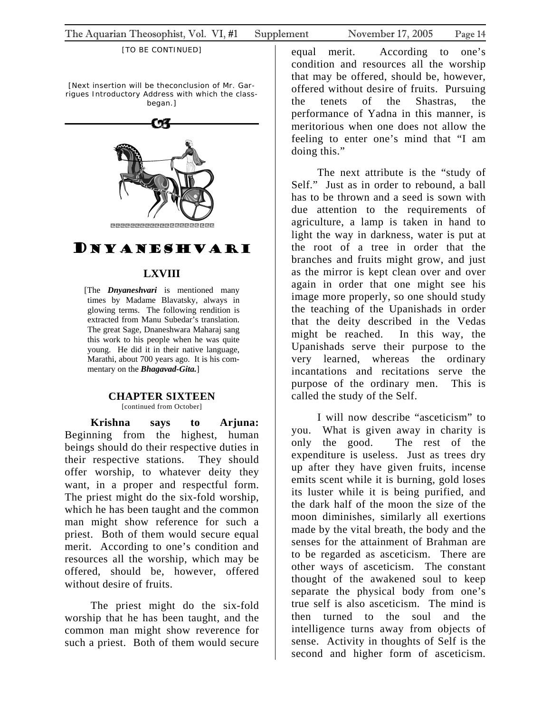<span id="page-13-0"></span>[Next insertion will be theconclusion of Mr. Garrigues Introductory Address with which the classbegan.]



# DNYANESHVARI

#### **LXVIII**

[The *Dnyaneshvari* is mentioned many times by Madame Blavatsky, always in glowing terms. The following rendition is extracted from Manu Subedar's translation. The great Sage, Dnaneshwara Maharaj sang this work to his people when he was quite young. He did it in their native language, Marathi, about 700 years ago. It is his commentary on the *Bhagavad-Gita.*]

#### **CHAPTER SIXTEEN**

[continued from October]

**Krishna says to Arjuna:**  Beginning from the highest, human beings should do their respective duties in their respective stations. They should offer worship, to whatever deity they want, in a proper and respectful form. The priest might do the six-fold worship, which he has been taught and the common man might show reference for such a priest. Both of them would secure equal merit. According to one's condition and resources all the worship, which may be offered, should be, however, offered without desire of fruits.

The priest might do the six-fold worship that he has been taught, and the common man might show reverence for such a priest. Both of them would secure

equal merit. According to one's condition and resources all the worship that may be offered, should be, however, offered without desire of fruits. Pursuing the tenets of the Shastras, the performance of Yadna in this manner, is meritorious when one does not allow the feeling to enter one's mind that "I am doing this."

The next attribute is the "study of Self." Just as in order to rebound, a ball has to be thrown and a seed is sown with due attention to the requirements of agriculture, a lamp is taken in hand to light the way in darkness, water is put at the root of a tree in order that the branches and fruits might grow, and just as the mirror is kept clean over and over again in order that one might see his image more properly, so one should study the teaching of the Upanishads in order that the deity described in the Vedas might be reached. In this way, the Upanishads serve their purpose to the very learned, whereas the ordinary incantations and recitations serve the purpose of the ordinary men. This is called the study of the Self.

I will now describe "asceticism" to you. What is given away in charity is only the good. The rest of the expenditure is useless. Just as trees dry up after they have given fruits, incense emits scent while it is burning, gold loses its luster while it is being purified, and the dark half of the moon the size of the moon diminishes, similarly all exertions made by the vital breath, the body and the senses for the attainment of Brahman are to be regarded as asceticism. There are other ways of asceticism. The constant thought of the awakened soul to keep separate the physical body from one's true self is also asceticism. The mind is then turned to the soul and the intelligence turns away from objects of sense. Activity in thoughts of Self is the second and higher form of asceticism.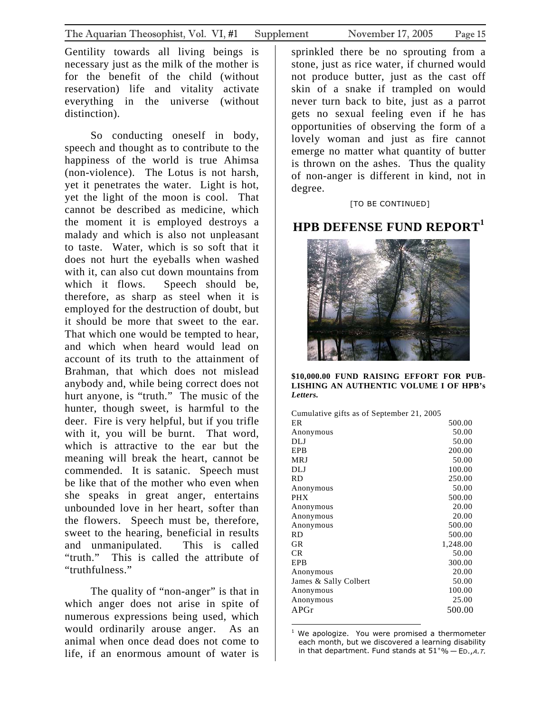Gentility towards all living beings is necessary just as the milk of the mother is for the benefit of the child (without reservation) life and vitality activate everything in the universe (without distinction).

So conducting oneself in body, speech and thought as to contribute to the happiness of the world is true Ahimsa (non-violence). The Lotus is not harsh, yet it penetrates the water. Light is hot, yet the light of the moon is cool. That cannot be described as medicine, which the moment it is employed destroys a malady and which is also not unpleasant to taste. Water, which is so soft that it does not hurt the eyeballs when washed with it, can also cut down mountains from which it flows. Speech should be, therefore, as sharp as steel when it is employed for the destruction of doubt, but it should be more that sweet to the ear. That which one would be tempted to hear, and which when heard would lead on account of its truth to the attainment of Brahman, that which does not mislead anybody and, while being correct does not hurt anyone, is "truth." The music of the hunter, though sweet, is harmful to the deer. Fire is very helpful, but if you trifle with it, you will be burnt. That word, which is attractive to the ear but the meaning will break the heart, cannot be commended. It is satanic. Speech must be like that of the mother who even when she speaks in great anger, entertains unbounded love in her heart, softer than the flowers. Speech must be, therefore, sweet to the hearing, beneficial in results and unmanipulated. This is called "truth." This is called the attribute of "truthfulness."

The quality of "non-anger" is that in which anger does not arise in spite of numerous expressions being used, which would ordinarily arouse anger. As an animal when once dead does not come to life, if an enormous amount of water is

sprinkled there be no sprouting from a stone, just as rice water, if churned would not produce butter, just as the cast off skin of a snake if trampled on would never turn back to bite, just as a parrot gets no sexual feeling even if he has opportunities of observing the form of a lovely woman and just as fire cannot emerge no matter what quantity of butter is thrown on the ashes. Thus the quality of non-anger is different in kind, not in degree.

#### [TO BE CONTINUED]

# **HPB DEFENSE FUND REPORT[1](#page-14-0)**



**\$10,000.00 FUND RAISING EFFORT FOR PUB-LISHING AN AUTHENTIC VOLUME I OF HPB's**  *Letters.*

| ER                    | 500.00   |
|-----------------------|----------|
| Anonymous             | 50.00    |
| DLJ                   | 50.00    |
| EPB                   | 200.00   |
| MRJ                   | 50.00    |
| DLJ                   | 100.00   |
| RD                    | 250.00   |
| Anonymous             | 50.00    |
| PHX                   | 500.00   |
| Anonymous             | 20.00    |
| Anonymous             | 20.00    |
| Anonymous             | 500.00   |
| RD                    | 500.00   |
| GR                    | 1,248.00 |
| CR                    | 50.00    |
| EPB                   | 300.00   |
| Anonymous             | 20.00    |
| James & Sally Colbert | 50.00    |
| Anonymous             | 100.00   |
| Anonymous             | 25.00    |
| APGr                  | 500.00   |
|                       |          |
|                       |          |

<span id="page-14-0"></span>1 We apologize. You were promised a thermometer each month, but we discovered a learning disability in that department. Fund stands at  $51^{+}$ % – Ep., A.T.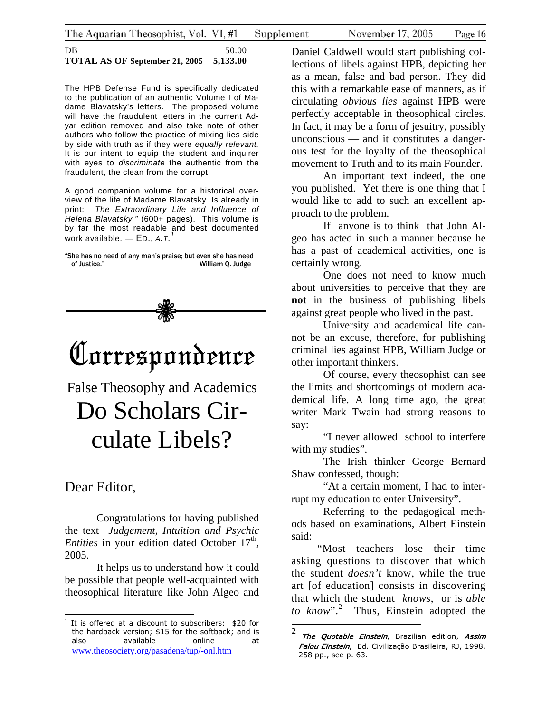<span id="page-15-0"></span>DB 50.00 **TOTAL AS OF September 21, 2005 5,133.00**

The HPB Defense Fund is specifically dedicated to the publication of an authentic Volume I of Madame Blavatsky's letters. The proposed volume will have the fraudulent letters in the current Adyar edition removed and also take note of other authors who follow the practice of mixing lies side by side with truth as if they were *equally relevant.*  It is our intent to equip the student and inquirer with eyes to *discriminate* the authentic from the fraudulent, the clean from the corrupt.

A good companion volume for a historical overview of the life of Madame Blavatsky. Is already in print: *The Extraordinary Life and Influence of Helena Blavatsky."* (600+ pages). This volume is by far the most readable and best documented work available. — ED., *A.T. [1](#page-15-1)*

"She has no need of any man's praise; but even she has need of Justice." William Q. Judge



# Correspondence

False Theosophy and Academics Do Scholars Circulate Libels?

# Dear Editor,

1

Congratulations for having published the text *Judgement, Intuition and Psychic Entities* in your edition dated October 17<sup>th</sup>, 2005.

It helps us to understand how it could be possible that people well-acquainted with theosophical literature like John Algeo and

Daniel Caldwell would start publishing collections of libels against HPB, depicting her as a mean, false and bad person. They did this with a remarkable ease of manners, as if circulating *obvious lies* against HPB were perfectly acceptable in theosophical circles. In fact, it may be a form of jesuitry, possibly unconscious — and it constitutes a dangerous test for the loyalty of the theosophical movement to Truth and to its main Founder.

An important text indeed, the one you published. Yet there is one thing that I would like to add to such an excellent approach to the problem.

If anyone is to think that John Algeo has acted in such a manner because he has a past of academical activities, one is certainly wrong.

One does not need to know much about universities to perceive that they are **not** in the business of publishing libels against great people who lived in the past.

University and academical life cannot be an excuse, therefore, for publishing criminal lies against HPB, William Judge or other important thinkers.

Of course, every theosophist can see the limits and shortcomings of modern academical life. A long time ago, the great writer Mark Twain had strong reasons to say:

"I never allowed school to interfere with my studies".

The Irish thinker George Bernard Shaw confessed, though:

"At a certain moment, I had to interrupt my education to enter University".

Referring to the pedagogical methods based on examinations, Albert Einstein said:

"Most teachers lose their time asking questions to discover that which the student *doesn't* know, while the true art [of education] consists in discovering that which the student *knows*, or is *able to know*".[2](#page-15-2) Thus, Einstein adopted the

<span id="page-15-1"></span><sup>&</sup>lt;sup>1</sup> It is offered at a discount to subscribers: \$20 for the hardback version; \$15 for the softback; and is also available online at [www.theosociety.org/pasadena/tup/-onl.htm](http://www.theosociety.org/pasadena/tup/-onl.htm)

<span id="page-15-2"></span><sup>&</sup>lt;sup>2</sup> The Quotable Einstein, Brazilian edition, Assim Falou Einstein, Ed. Civilização Brasileira, RJ, 1998, 258 pp., see p. 63.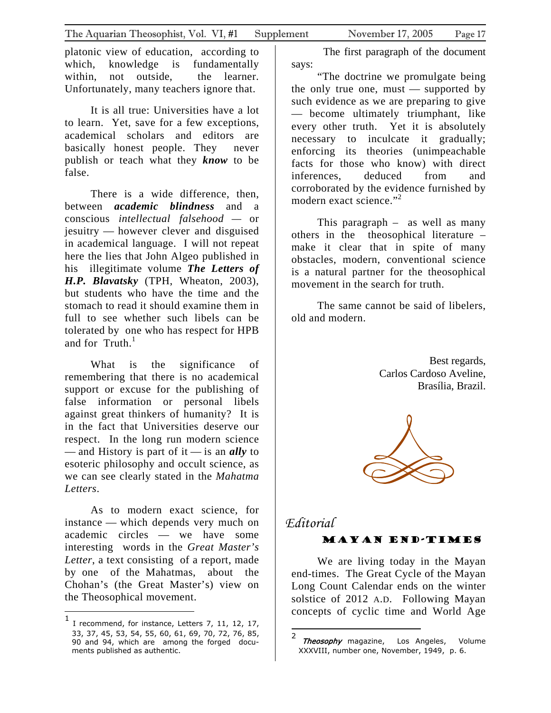<span id="page-16-0"></span>platonic view of education, according to which, knowledge is fundamentally within, not outside, the learner. Unfortunately, many teachers ignore that.

It is all true: Universities have a lot to learn. Yet, save for a few exceptions, academical scholars and editors are basically honest people. They never publish or teach what they *know* to be false.

There is a wide difference, then, between *academic blindness* and a conscious *intellectual falsehood —* or jesuitry — however clever and disguised in academical language. I will not repeat here the lies that John Algeo published in his illegitimate volume *The Letters of H.P. Blavatsky* (TPH, Wheaton, 2003), but students who have the time and the stomach to read it should examine them in full to see whether such libels can be tolerated by one who has respect for HPB and for  $Truth.<sup>1</sup>$  $Truth.<sup>1</sup>$  $Truth.<sup>1</sup>$ 

What is the significance of remembering that there is no academical support or excuse for the publishing of false information or personal libels against great thinkers of humanity? It is in the fact that Universities deserve our respect. In the long run modern science — and History is part of it — is an *ally* to esoteric philosophy and occult science, as we can see clearly stated in the *Mahatma Letters*.

As to modern exact science, for instance — which depends very much on academic circles — we have some interesting words in the *Great Master's Letter*, a text consisting of a report, made by one of the Mahatmas, about the Chohan's (the Great Master's) view on the Theosophical movement.

1

The first paragraph of the document says:

"The doctrine we promulgate being the only true one, must  $-$  supported by such evidence as we are preparing to give — become ultimately triumphant, like every other truth. Yet it is absolutely necessary to inculcate it gradually; enforcing its theories (unimpeachable facts for those who know) with direct inferences, deduced from and corroborated by the evidence furnished by modern exact science."<sup>[2](#page-16-2)</sup>

This paragraph – as well as many others in the theosophical literature – make it clear that in spite of many obstacles, modern, conventional science is a natural partner for the theosophical movement in the search for truth.

The same cannot be said of libelers, old and modern.

> Best regards, Carlos Cardoso Aveline, Brasília, Brazil.



## *Editorial*

#### Mayan End-Times

We are living today in the Mayan end-times. The Great Cycle of the Mayan Long Count Calendar ends on the winter solstice of 2012 A.D. Following Mayan concepts of cyclic time and World Age

<span id="page-16-1"></span><sup>1</sup> I recommend, for instance, Letters 7, 11, 12, 17, 33, 37, 45, 53, 54, 55, 60, 61, 69, 70, 72, 76, 85, 90 and 94, which are among the forged documents published as authentic.

<span id="page-16-2"></span><sup>&</sup>lt;sup>2</sup> Theosophy magazine, Los Angeles, Volume XXXVIII, number one, November, 1949, p. 6.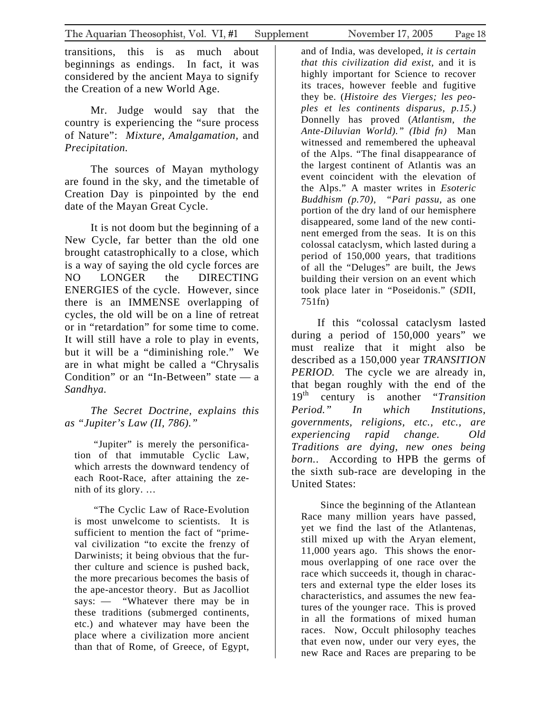transitions, this is as much about beginnings as endings. In fact, it was considered by the ancient Maya to signify the Creation of a new World Age.

Mr. Judge would say that the country is experiencing the "sure process of Nature": *Mixture, Amalgamation,* and *Precipitation.* 

The sources of Mayan mythology are found in the sky, and the timetable of Creation Day is pinpointed by the end date of the Mayan Great Cycle.

It is not doom but the beginning of a New Cycle, far better than the old one brought catastrophically to a close, which is a way of saying the old cycle forces are NO LONGER the DIRECTING ENERGIES of the cycle. However, since there is an IMMENSE overlapping of cycles, the old will be on a line of retreat or in "retardation" for some time to come. It will still have a role to play in events, but it will be a "diminishing role." We are in what might be called a "Chrysalis Condition" or an "In-Between" state — a *Sandhya.* 

*The Secret Doctrine, explains this as "Jupiter's Law (II, 786)."* 

"Jupiter" is merely the personification of that immutable Cyclic Law, which arrests the downward tendency of each Root-Race, after attaining the zenith of its glory. …

"The Cyclic Law of Race-Evolution is most unwelcome to scientists. It is sufficient to mention the fact of "primeval civilization "to excite the frenzy of Darwinists; it being obvious that the further culture and science is pushed back, the more precarious becomes the basis of the ape-ancestor theory. But as Jacolliot says: — "Whatever there may be in these traditions (submerged continents, etc.) and whatever may have been the place where a civilization more ancient than that of Rome, of Greece, of Egypt,

and of India, was developed, *it is certain that this civilization did exist,* and it is highly important for Science to recover its traces, however feeble and fugitive they be. (*Histoire des Vierges; les peoples et les continents disparus, p.15.)*  Donnelly has proved (*Atlantism, the Ante-Diluvian World)." (Ibid fn)* Man witnessed and remembered the upheaval of the Alps. "The final disappearance of the largest continent of Atlantis was an event coincident with the elevation of the Alps." A master writes in *Esoteric Buddhism (p.70), "Pari passu,* as one portion of the dry land of our hemisphere disappeared, some land of the new continent emerged from the seas. It is on this colossal cataclysm, which lasted during a period of 150,000 years, that traditions of all the "Deluges" are built, the Jews building their version on an event which took place later in "Poseidonis." (*SD*II, 751fn)

If this "colossal cataclysm lasted during a period of 150,000 years" we must realize that it might also be described as a 150,000 year *TRANSITION PERIOD.* The cycle we are already in, that began roughly with the end of the 19th century is another "*Transition Period." In which Institutions, governments, religions, etc., etc., are experiencing rapid change. Old Traditions are dying, new ones being born.*. According to HPB the germs of the sixth sub-race are developing in the United States:

Since the beginning of the Atlantean Race many million years have passed, yet we find the last of the Atlantenas, still mixed up with the Aryan element, 11,000 years ago. This shows the enormous overlapping of one race over the race which succeeds it, though in characters and external type the elder loses its characteristics, and assumes the new features of the younger race. This is proved in all the formations of mixed human races. Now, Occult philosophy teaches that even now, under our very eyes, the new Race and Races are preparing to be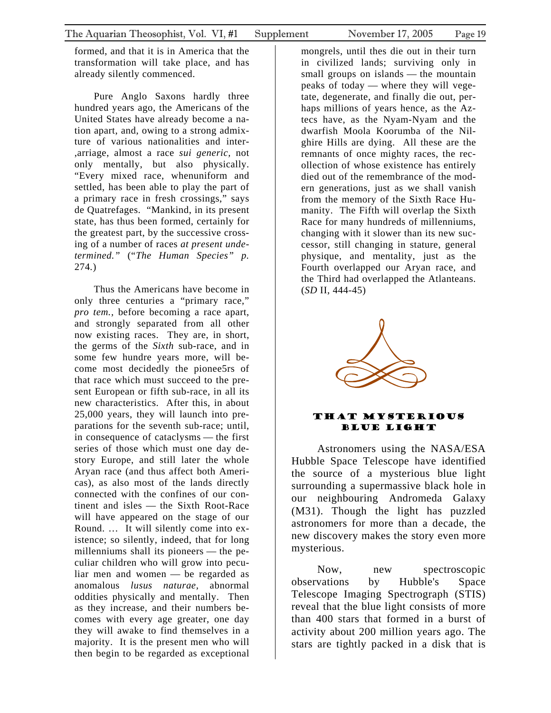<span id="page-18-0"></span>formed, and that it is in America that the transformation will take place, and has already silently commenced.

Pure Anglo Saxons hardly three hundred years ago, the Americans of the United States have already become a nation apart, and, owing to a strong admixture of various nationalities and inter- ,arriage, almost a race *sui generic,* not only mentally, but also physically. "Every mixed race, whenuniform and settled, has been able to play the part of a primary race in fresh crossings," says de Quatrefages. "Mankind, in its present state, has thus been formed, certainly for the greatest part, by the successive crossing of a number of races *at present undetermined."* ("*The Human Species" p.*  274*.*)

Thus the Americans have become in only three centuries a "primary race," *pro tem.,* before becoming a race apart, and strongly separated from all other now existing races. They are, in short, the germs of the *Sixth* sub-race, and in some few hundre years more, will become most decidedly the pionee5rs of that race which must succeed to the present European or fifth sub-race, in all its new characteristics. After this, in about 25,000 years, they will launch into preparations for the seventh sub-race; until, in consequence of cataclysms — the first series of those which must one day destory Europe, and still later the whole Aryan race (and thus affect both Americas), as also most of the lands directly connected with the confines of our continent and isles — the Sixth Root-Race will have appeared on the stage of our Round. … It will silently come into existence; so silently, indeed, that for long millenniums shall its pioneers — the peculiar children who will grow into peculiar men and women — be regarded as anomalous *lusus naturae,* abnormal oddities physically and mentally. Then as they increase, and their numbers becomes with every age greater, one day they will awake to find themselves in a majority. It is the present men who will then begin to be regarded as exceptional

mongrels, until thes die out in their turn in civilized lands; surviving only in small groups on islands — the mountain peaks of today — where they will vegetate, degenerate, and finally die out, perhaps millions of years hence, as the Aztecs have, as the Nyam-Nyam and the dwarfish Moola Koorumba of the Nilghire Hills are dying. All these are the remnants of once mighty races, the recollection of whose existence has entirely died out of the remembrance of the modern generations, just as we shall vanish from the memory of the Sixth Race Humanity. The Fifth will overlap the Sixth Race for many hundreds of millenniums, changing with it slower than its new successor, still changing in stature, general physique, and mentality, just as the Fourth overlapped our Aryan race, and the Third had overlapped the Atlanteans. (*SD* II, 444-45)



#### That Mysterious Blue LIght

Astronomers using the NASA/ESA Hubb le Space Telescope have identified the source of a mysterious blue light surrounding a supermassive black hole in our neighbouring Andromeda Galaxy (M31). Though the light has puzzled astronomers for more than a decade, the new discovery makes the story even more mysterious.

*observations* Now, new spectroscopic by Hubble's Space Telescope Imaging Spectrograph (STIS) reveal that the blue light consists of more than 400 stars that formed in a burst of activity about 200 million years ago. The stars are tightly packed in a disk that is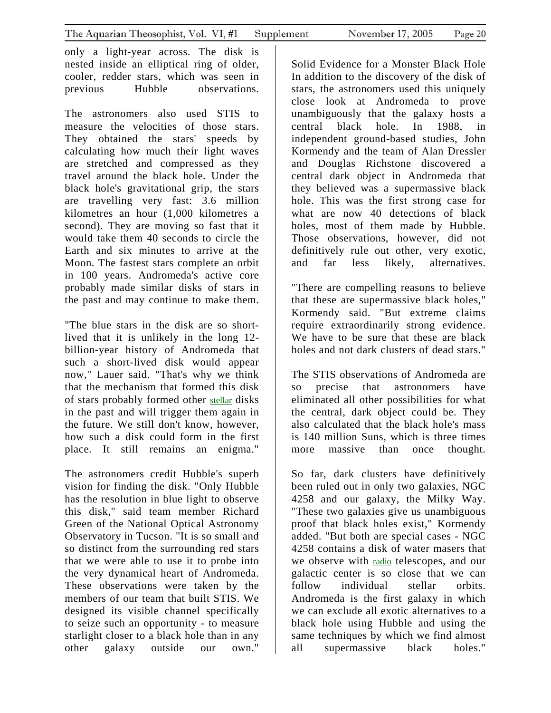only a light-year across. The disk is nested inside an elliptical ring of older, cooler, redder stars, which was seen in previous Hubble observations.

T he astronomers also used STIS to measure the velocities of those stars. They obtained the stars' speeds by calculating how much their light waves are stretched and compressed as they travel around the black hole. Under the black hole's gravitational grip, the stars are travelling very fast: 3.6 million kilometres an hour (1,000 kilometres a second). They are moving so fast that it would take them 40 seconds to circle the Earth and six minutes to arrive at the Moon. The fastest stars complete an orbit in 100 years. Andromeda's active core probably made similar disks of stars in the past and may continue to make them.

" The blue stars in the disk are so shortlived that it is unlikely in the long 12 billion-year history of Andromeda that such a short-lived disk would appear now," Lauer said. "That's why we think that the mechanism that formed this disk of stars probably formed other [stellar](#page-0-0) disks in the past and will trigger them again in the future. We still don't know, however, how such a disk could form in the first place. It still remains an enigma."

T he astronomers credit Hubble's superb vision for finding the disk. "Only Hubble has the resolution in blue light to observe this disk," said team member Richard Green of the National Optical Astronomy Observatory in Tucson. "It is so small and so distinct from the surrounding red stars that we were able to use it to probe into the very dynamical heart of Andromeda. These observations were taken by the members of our team that built STIS. We designed its visible channel specifically to seize such an opportunity - to measure starlight closer to a black hole than in any other galaxy outside our own."

S olid Evidence for a Monster Black Hole In addition to the discovery of the disk of stars, the astronomers used this uniquely close look at Andromeda to prove unambiguously that the galaxy hosts a central black hole. In 1988, in independent ground-based studies, John Kormendy and the team of Alan Dressler and Douglas Richstone discovered a central dark object in Andromeda that they believed was a supermassive black hole. This was the first strong case for what are now 40 detections of black holes, most of them made by Hubble. Those observations, however, did not definitively rule out other, very exotic, and far less likely, alternatives.

" There are compelling reasons to believe that these are supermassive black holes," Kormendy said. "But extreme claims require extraordinarily strong evidence. We have to be sure that these are black holes and not dark clusters of dead stars."

T he STIS observations of Andromeda are so precise that astronomers have eliminated all other possibilities for what the central, dark object could be. They also calculated that the black hole's mass is 140 million Suns, which is three times more massive than once thought.

S o far, dark clusters have definitively been ruled out in only two galaxies, NGC 4258 and our galaxy, the Milky Way. "These two galaxies give us unambiguous proof that black holes exist," Kormendy added. "But both are special cases - NGC 4258 contains a disk of water masers that we observe with [radio](#page-0-0) telescopes, and our galactic center is so close that we can follow individual stellar orbits. Andromeda is the first galaxy in which we can exclude all exotic alternatives to a black hole using Hubble and using the same techniques by which we find almost all supermassive black holes."